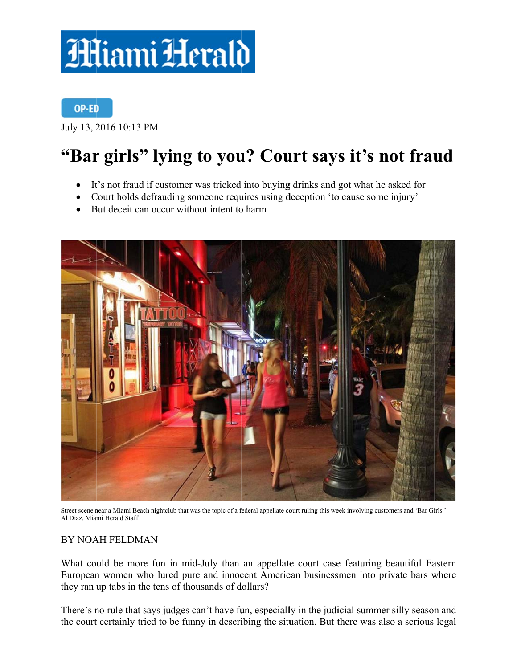## **MiamiHerald**

**OP-ED** 

July 13, 2016 10:13 PM

## "Bar girls" lying to you? Court says it's not fraud

- It's not fraud if customer was tricked into buying drinks and got what he asked for
- Court holds defrauding someone requires using deception 'to cause some injury'
- But deceit can occur without intent to harm



Street scene near a Miami Beach nightclub that was the topic of a federal appellate court ruling this week involving customers and 'Bar Girls.' Al Diaz, Miami Herald Staff

## BY NOAH FELDMAN

What could be more fun in mid-July than an appellate court case featuring beautiful Eastern European women who lured pure and innocent American businessmen into private bars where they ran up tabs in the tens of thousands of dollars?

There's no rule that says judges can't have fun, especially in the judicial summer silly season and the court certainly tried to be funny in describing the situation. But there was also a serious legal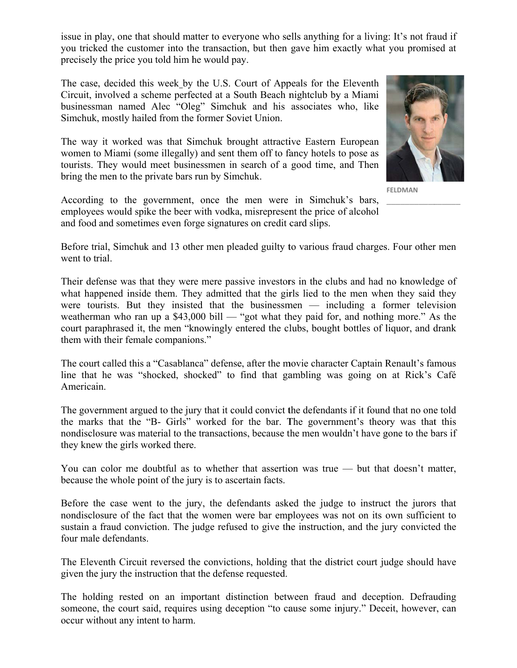issue in play, one that should matter to everyone who sells anything for a living: It's not fraud if you tricked the customer into the transaction, but then gave him exactly what you promised at precisely the price you told him he would pay.

The case, decided this week by the U.S. Court of Appeals for the Eleventh Circuit, involved a scheme perfected at a South Beach nightclub by a Miami businessman named Alec "Oleg" Simchuk and his associates who, like Simchuk, mostly hailed from the former Soviet Union.

The way it worked was that Simchuk brought attractive Eastern European women to Miami (some illegally) and sent them off to fancy hotels to pose as tourists. They would meet businessmen in search of a good time, and Then bring the men to the private bars run by Simchuk.



**FELDMAN** 

According to the government, once the men were in Simchuk's bars, employees would spike the beer with vodka, misrepresent the price of alcohol and food and sometimes even forge signatures on credit card slips.

Before trial, Simchuk and 13 other men pleaded guilty to various fraud charges. Four other men went to trial.

Their defense was that they were mere passive investors in the clubs and had no knowledge of what happened inside them. They admitted that the girls lied to the men when they said they were tourists. But they insisted that the businessmen  $-$  including a former television weatherman who ran up a  $$43,000$  bill — "got what they paid for, and nothing more." As the court paraphrased it, the men "knowingly entered the clubs, bought bottles of liquor, and drank them with their female companions."

The court called this a "Casablanca" defense, after the movie character Captain Renault's famous line that he was "shocked, shocked" to find that gambling was going on at Rick's Café Americain.

The government argued to the jury that it could convict the defendants if it found that no one told the marks that the "B- Girls" worked for the bar. The government's theory was that this nondisclosure was material to the transactions, because the men wouldn't have gone to the bars if they knew the girls worked there.

You can color me doubtful as to whether that assertion was true - but that doesn't matter, because the whole point of the jury is to ascertain facts.

Before the case went to the jury, the defendants asked the judge to instruct the jurors that nondisclosure of the fact that the women were bar employees was not on its own sufficient to sustain a fraud conviction. The judge refused to give the instruction, and the jury convicted the four male defendants.

The Eleventh Circuit reversed the convictions, holding that the district court judge should have given the jury the instruction that the defense requested.

The holding rested on an important distinction between fraud and deception. Defrauding someone, the court said, requires using deception "to cause some injury." Deceit, however, can occur without any intent to harm.